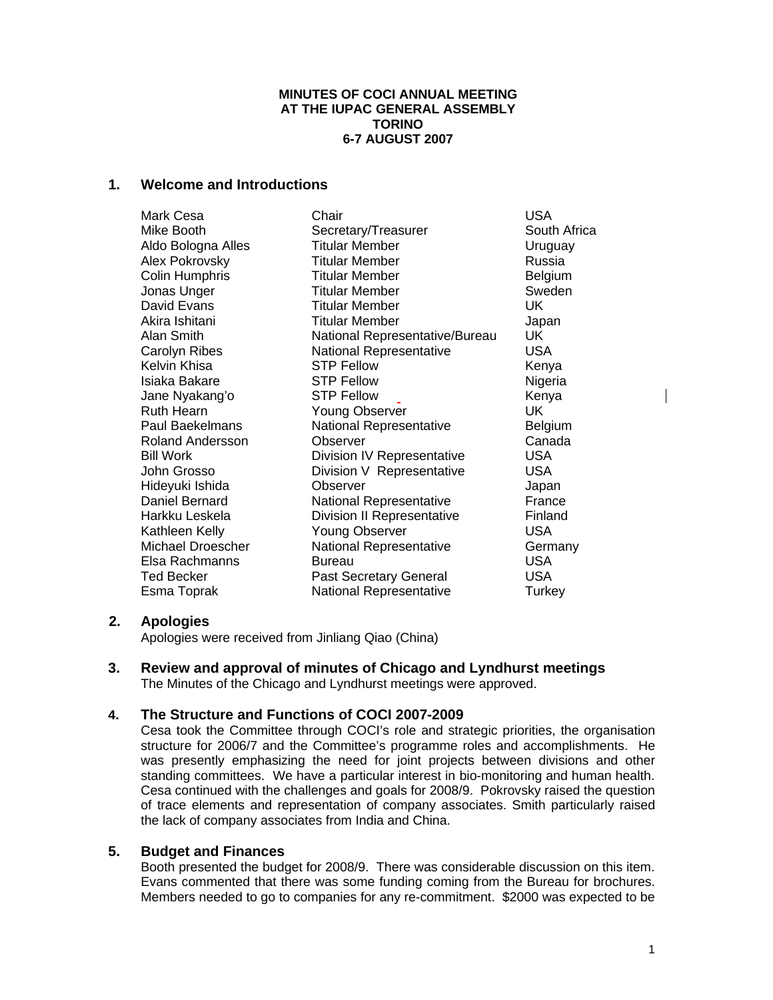### **MINUTES OF COCI ANNUAL MEETING AT THE IUPAC GENERAL ASSEMBLY TORINO 6-7 AUGUST 2007**

# **1. Welcome and Introductions**

| Mark Cesa          | Chair                          | <b>USA</b>     |
|--------------------|--------------------------------|----------------|
| Mike Booth         | Secretary/Treasurer            | South Africa   |
| Aldo Bologna Alles | <b>Titular Member</b>          | Uruguay        |
| Alex Pokrovsky     | <b>Titular Member</b>          | Russia         |
| Colin Humphris     | <b>Titular Member</b>          | <b>Belgium</b> |
| Jonas Unger        | <b>Titular Member</b>          | Sweden         |
| David Evans        | <b>Titular Member</b>          | UK             |
| Akira Ishitani     | <b>Titular Member</b>          | Japan          |
| Alan Smith         | National Representative/Bureau | UK.            |
| Carolyn Ribes      | <b>National Representative</b> | <b>USA</b>     |
| Kelvin Khisa       | <b>STP Fellow</b>              | Kenya          |
| Isiaka Bakare      | <b>STP Fellow</b>              | Nigeria        |
| Jane Nyakang'o     | <b>STP Fellow</b>              | Kenya          |
| Ruth Hearn         | <b>Young Observer</b>          | UK             |
| Paul Baekelmans    | National Representative        | Belgium        |
| Roland Andersson   | <b>Observer</b>                | Canada         |
| Bill Work          | Division IV Representative     | USA.           |
| John Grosso        | Division V Representative      | <b>USA</b>     |
| Hideyuki Ishida    | Observer                       | Japan          |
| Daniel Bernard     | <b>National Representative</b> | France         |
| Harkku Leskela     | Division II Representative     | Finland        |
| Kathleen Kelly     | <b>Young Observer</b>          | <b>USA</b>     |
| Michael Droescher  | <b>National Representative</b> | Germany        |
| Elsa Rachmanns     | <b>Bureau</b>                  | <b>USA</b>     |
| Ted Becker         | <b>Past Secretary General</b>  | USA.           |
| Esma Toprak        | <b>National Representative</b> | Turkey         |

# **2. Apologies**

Apologies were received from Jinliang Qiao (China)

**3. Review and approval of minutes of Chicago and Lyndhurst meetings** The Minutes of the Chicago and Lyndhurst meetings were approved.

# **4. The Structure and Functions of COCI 2007-2009**

Cesa took the Committee through COCI's role and strategic priorities, the organisation structure for 2006/7 and the Committee's programme roles and accomplishments. He was presently emphasizing the need for joint projects between divisions and other standing committees. We have a particular interest in bio-monitoring and human health. Cesa continued with the challenges and goals for 2008/9. Pokrovsky raised the question of trace elements and representation of company associates. Smith particularly raised the lack of company associates from India and China.

# **5. Budget and Finances**

Booth presented the budget for 2008/9. There was considerable discussion on this item. Evans commented that there was some funding coming from the Bureau for brochures. Members needed to go to companies for any re-commitment. \$2000 was expected to be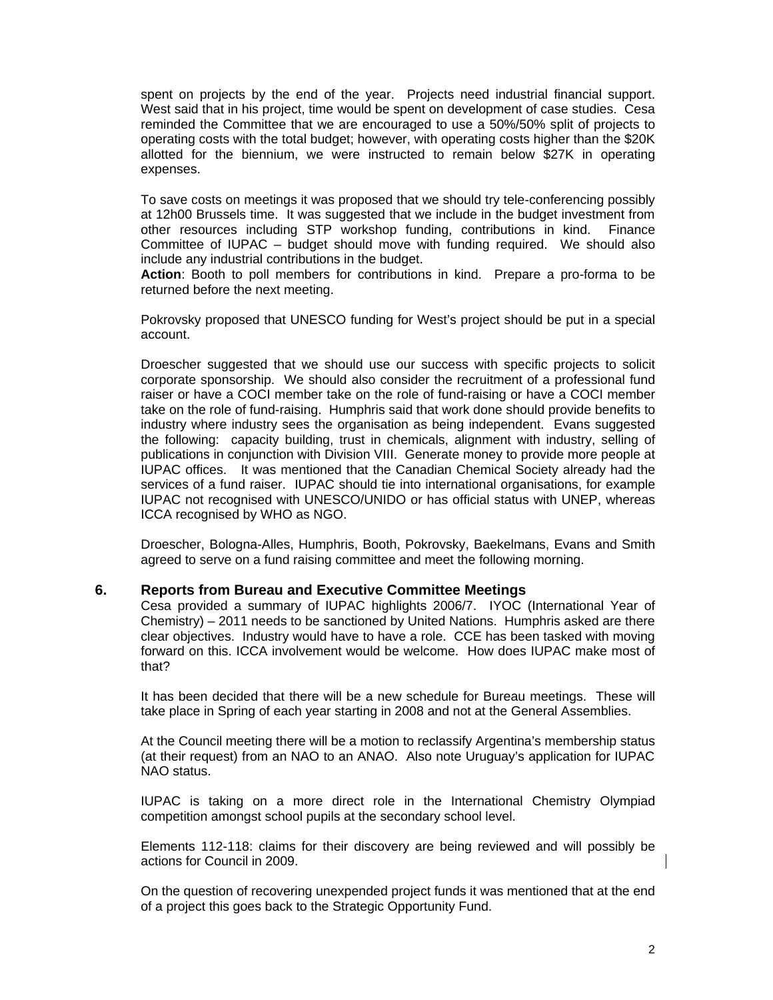spent on projects by the end of the year. Projects need industrial financial support. West said that in his project, time would be spent on development of case studies. Cesa reminded the Committee that we are encouraged to use a 50%/50% split of projects to operating costs with the total budget; however, with operating costs higher than the \$20K allotted for the biennium, we were instructed to remain below \$27K in operating expenses.

To save costs on meetings it was proposed that we should try tele-conferencing possibly at 12h00 Brussels time. It was suggested that we include in the budget investment from other resources including STP workshop funding, contributions in kind. Finance Committee of IUPAC – budget should move with funding required. We should also include any industrial contributions in the budget.

**Action**: Booth to poll members for contributions in kind. Prepare a pro-forma to be returned before the next meeting.

Pokrovsky proposed that UNESCO funding for West's project should be put in a special account.

Droescher suggested that we should use our success with specific projects to solicit corporate sponsorship. We should also consider the recruitment of a professional fund raiser or have a COCI member take on the role of fund-raising or have a COCI member take on the role of fund-raising. Humphris said that work done should provide benefits to industry where industry sees the organisation as being independent. Evans suggested the following: capacity building, trust in chemicals, alignment with industry, selling of publications in conjunction with Division VIII. Generate money to provide more people at IUPAC offices. It was mentioned that the Canadian Chemical Society already had the services of a fund raiser. IUPAC should tie into international organisations, for example IUPAC not recognised with UNESCO/UNIDO or has official status with UNEP, whereas ICCA recognised by WHO as NGO.

Droescher, Bologna-Alles, Humphris, Booth, Pokrovsky, Baekelmans, Evans and Smith agreed to serve on a fund raising committee and meet the following morning.

### **6. Reports from Bureau and Executive Committee Meetings**

Cesa provided a summary of IUPAC highlights 2006/7. IYOC (International Year of Chemistry) – 2011 needs to be sanctioned by United Nations. Humphris asked are there clear objectives. Industry would have to have a role. CCE has been tasked with moving forward on this. ICCA involvement would be welcome. How does IUPAC make most of that?

It has been decided that there will be a new schedule for Bureau meetings. These will take place in Spring of each year starting in 2008 and not at the General Assemblies.

At the Council meeting there will be a motion to reclassify Argentina's membership status (at their request) from an NAO to an ANAO. Also note Uruguay's application for IUPAC NAO status.

IUPAC is taking on a more direct role in the International Chemistry Olympiad competition amongst school pupils at the secondary school level.

Elements 112-118: claims for their discovery are being reviewed and will possibly be actions for Council in 2009.

On the question of recovering unexpended project funds it was mentioned that at the end of a project this goes back to the Strategic Opportunity Fund.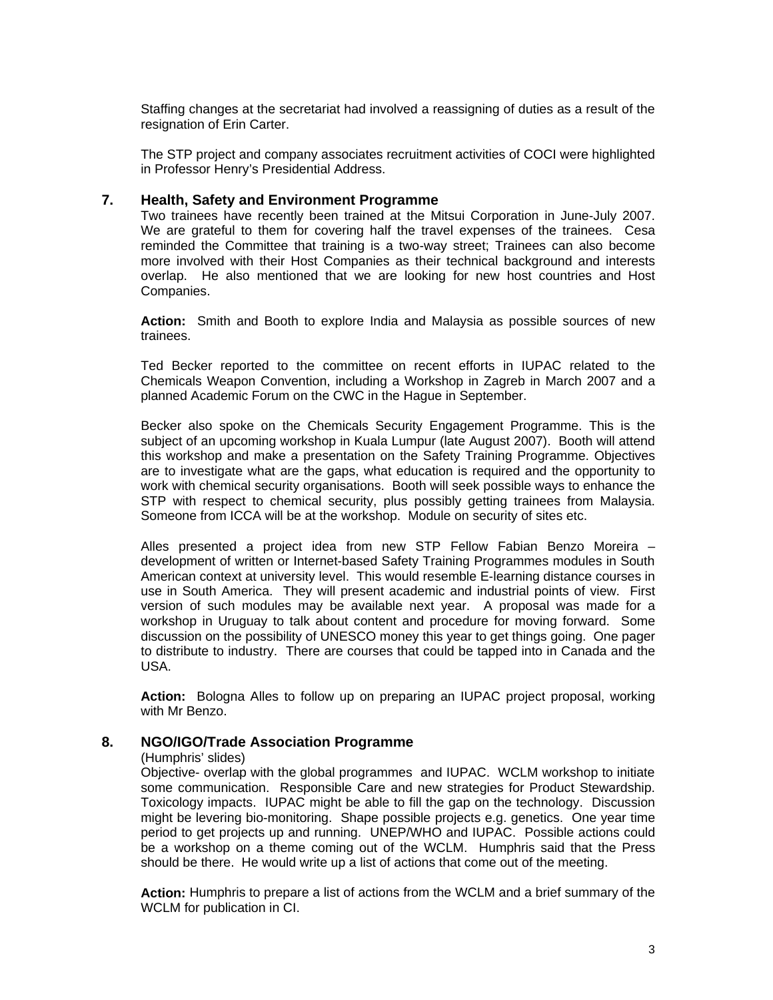Staffing changes at the secretariat had involved a reassigning of duties as a result of the resignation of Erin Carter.

The STP project and company associates recruitment activities of COCI were highlighted in Professor Henry's Presidential Address.

### **7. Health, Safety and Environment Programme**

Two trainees have recently been trained at the Mitsui Corporation in June-July 2007. We are grateful to them for covering half the travel expenses of the trainees. Cesa reminded the Committee that training is a two-way street; Trainees can also become more involved with their Host Companies as their technical background and interests overlap. He also mentioned that we are looking for new host countries and Host Companies.

**Action:** Smith and Booth to explore India and Malaysia as possible sources of new trainees.

Ted Becker reported to the committee on recent efforts in IUPAC related to the Chemicals Weapon Convention, including a Workshop in Zagreb in March 2007 and a planned Academic Forum on the CWC in the Hague in September.

Becker also spoke on the Chemicals Security Engagement Programme. This is the subject of an upcoming workshop in Kuala Lumpur (late August 2007). Booth will attend this workshop and make a presentation on the Safety Training Programme. Objectives are to investigate what are the gaps, what education is required and the opportunity to work with chemical security organisations. Booth will seek possible ways to enhance the STP with respect to chemical security, plus possibly getting trainees from Malaysia. Someone from ICCA will be at the workshop. Module on security of sites etc.

Alles presented a project idea from new STP Fellow Fabian Benzo Moreira – development of written or Internet-based Safety Training Programmes modules in South American context at university level. This would resemble E-learning distance courses in use in South America. They will present academic and industrial points of view. First version of such modules may be available next year. A proposal was made for a workshop in Uruguay to talk about content and procedure for moving forward. Some discussion on the possibility of UNESCO money this year to get things going. One pager to distribute to industry. There are courses that could be tapped into in Canada and the USA.

**Action:** Bologna Alles to follow up on preparing an IUPAC project proposal, working with Mr Benzo.

### **8. NGO/IGO/Trade Association Programme**

#### (Humphris' slides)

Objective- overlap with the global programmes and IUPAC. WCLM workshop to initiate some communication. Responsible Care and new strategies for Product Stewardship. Toxicology impacts. IUPAC might be able to fill the gap on the technology. Discussion might be levering bio-monitoring. Shape possible projects e.g. genetics. One year time period to get projects up and running. UNEP/WHO and IUPAC. Possible actions could be a workshop on a theme coming out of the WCLM. Humphris said that the Press should be there. He would write up a list of actions that come out of the meeting.

**Action:** Humphris to prepare a list of actions from the WCLM and a brief summary of the WCLM for publication in CI.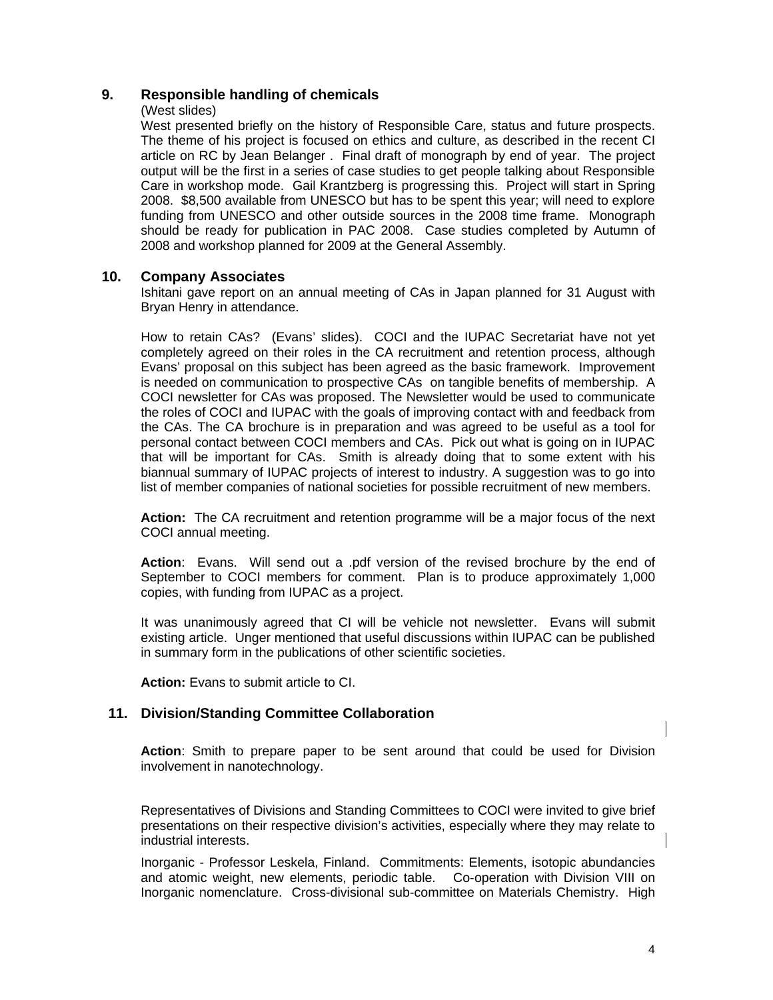# **9. Responsible handling of chemicals**

### (West slides)

West presented briefly on the history of Responsible Care, status and future prospects. The theme of his project is focused on ethics and culture, as described in the recent CI article on RC by Jean Belanger . Final draft of monograph by end of year. The project output will be the first in a series of case studies to get people talking about Responsible Care in workshop mode. Gail Krantzberg is progressing this. Project will start in Spring 2008. \$8,500 available from UNESCO but has to be spent this year; will need to explore funding from UNESCO and other outside sources in the 2008 time frame. Monograph should be ready for publication in PAC 2008. Case studies completed by Autumn of 2008 and workshop planned for 2009 at the General Assembly.

# **10. Company Associates**

Ishitani gave report on an annual meeting of CAs in Japan planned for 31 August with Bryan Henry in attendance.

How to retain CAs? (Evans' slides). COCI and the IUPAC Secretariat have not yet completely agreed on their roles in the CA recruitment and retention process, although Evans' proposal on this subject has been agreed as the basic framework. Improvement is needed on communication to prospective CAs on tangible benefits of membership. A COCI newsletter for CAs was proposed. The Newsletter would be used to communicate the roles of COCI and IUPAC with the goals of improving contact with and feedback from the CAs. The CA brochure is in preparation and was agreed to be useful as a tool for personal contact between COCI members and CAs. Pick out what is going on in IUPAC that will be important for CAs. Smith is already doing that to some extent with his biannual summary of IUPAC projects of interest to industry. A suggestion was to go into list of member companies of national societies for possible recruitment of new members.

**Action:** The CA recruitment and retention programme will be a major focus of the next COCI annual meeting.

**Action**: Evans. Will send out a .pdf version of the revised brochure by the end of September to COCI members for comment. Plan is to produce approximately 1,000 copies, with funding from IUPAC as a project.

It was unanimously agreed that CI will be vehicle not newsletter. Evans will submit existing article. Unger mentioned that useful discussions within IUPAC can be published in summary form in the publications of other scientific societies.

**Action:** Evans to submit article to CI.

# **11. Division/Standing Committee Collaboration**

**Action**: Smith to prepare paper to be sent around that could be used for Division involvement in nanotechnology.

Representatives of Divisions and Standing Committees to COCI were invited to give brief presentations on their respective division's activities, especially where they may relate to industrial interests.

Inorganic - Professor Leskela, Finland. Commitments: Elements, isotopic abundancies and atomic weight, new elements, periodic table. Co-operation with Division VIII on Inorganic nomenclature. Cross-divisional sub-committee on Materials Chemistry. High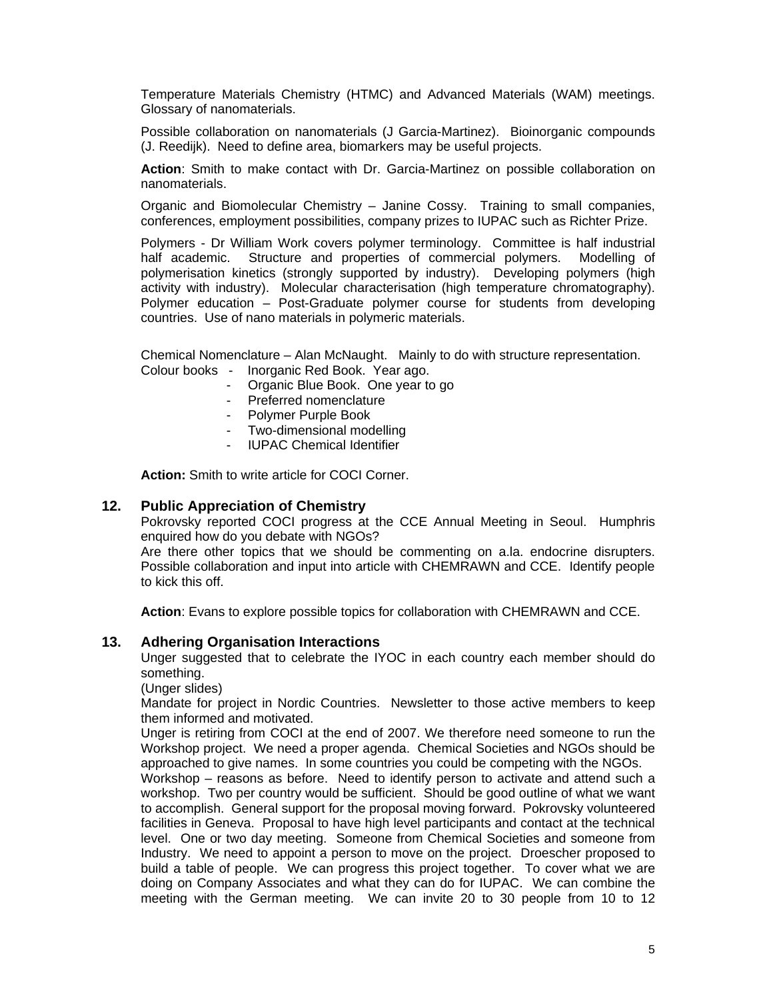Temperature Materials Chemistry (HTMC) and Advanced Materials (WAM) meetings. Glossary of nanomaterials.

Possible collaboration on nanomaterials (J Garcia-Martinez). Bioinorganic compounds (J. Reedijk). Need to define area, biomarkers may be useful projects.

 **Action**: Smith to make contact with Dr. Garcia-Martinez on possible collaboration on nanomaterials.

Organic and Biomolecular Chemistry – Janine Cossy. Training to small companies, conferences, employment possibilities, company prizes to IUPAC such as Richter Prize.

Polymers - Dr William Work covers polymer terminology. Committee is half industrial half academic. Structure and properties of commercial polymers. Modelling of polymerisation kinetics (strongly supported by industry). Developing polymers (high activity with industry). Molecular characterisation (high temperature chromatography). Polymer education – Post-Graduate polymer course for students from developing countries. Use of nano materials in polymeric materials.

Chemical Nomenclature – Alan McNaught. Mainly to do with structure representation. Colour books - Inorganic Red Book. Year ago.

- Organic Blue Book. One year to go
- Preferred nomenclature
- Polymer Purple Book
- Two-dimensional modelling
- IUPAC Chemical Identifier

**Action:** Smith to write article for COCI Corner.

### **12. Public Appreciation of Chemistry**

Pokrovsky reported COCI progress at the CCE Annual Meeting in Seoul. Humphris enquired how do you debate with NGOs?

Are there other topics that we should be commenting on a.la. endocrine disrupters. Possible collaboration and input into article with CHEMRAWN and CCE. Identify people to kick this off.

**Action**: Evans to explore possible topics for collaboration with CHEMRAWN and CCE.

### **13. Adhering Organisation Interactions**

Unger suggested that to celebrate the IYOC in each country each member should do something.

(Unger slides)

Mandate for project in Nordic Countries. Newsletter to those active members to keep them informed and motivated.

Unger is retiring from COCI at the end of 2007. We therefore need someone to run the Workshop project. We need a proper agenda. Chemical Societies and NGOs should be approached to give names. In some countries you could be competing with the NGOs.

Workshop – reasons as before. Need to identify person to activate and attend such a workshop. Two per country would be sufficient. Should be good outline of what we want to accomplish. General support for the proposal moving forward. Pokrovsky volunteered facilities in Geneva. Proposal to have high level participants and contact at the technical level. One or two day meeting. Someone from Chemical Societies and someone from Industry. We need to appoint a person to move on the project. Droescher proposed to build a table of people. We can progress this project together. To cover what we are doing on Company Associates and what they can do for IUPAC. We can combine the meeting with the German meeting. We can invite 20 to 30 people from 10 to 12